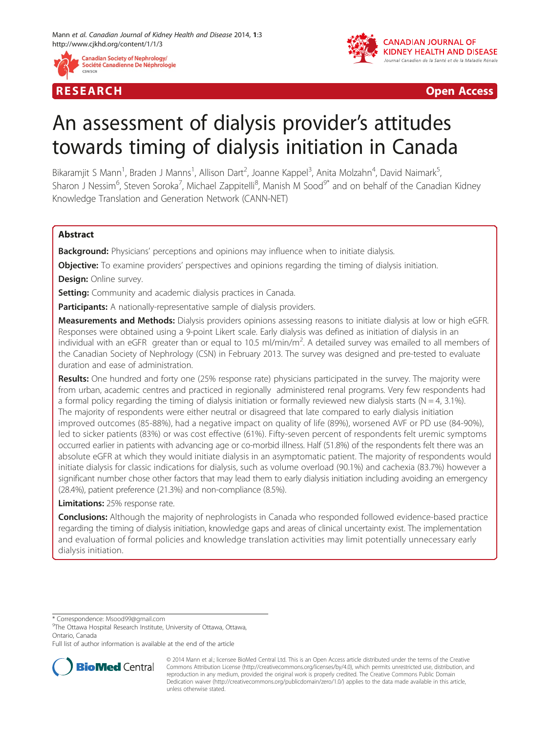





R E S EAR CH Open Access

# An assessment of dialysis provider's attitudes towards timing of dialysis initiation in Canada

Bikaramjit S Mann<sup>1</sup>, Braden J Manns<sup>1</sup>, Allison Dart<sup>2</sup>, Joanne Kappel<sup>3</sup>, Anita Molzahn<sup>4</sup>, David Naimark<sup>5</sup> , Sharon J Nessim<sup>6</sup>, Steven Soroka<sup>7</sup>, Michael Zappitelli<sup>8</sup>, Manish M Sood<sup>9\*</sup> and on behalf of the Canadian Kidney Knowledge Translation and Generation Network (CANN-NET)

## Abstract

**Background:** Physicians' perceptions and opinions may influence when to initiate dialysis.

**Objective:** To examine providers' perspectives and opinions regarding the timing of dialysis initiation.

Design: Online survey.

Setting: Community and academic dialysis practices in Canada.

Participants: A nationally-representative sample of dialysis providers.

Measurements and Methods: Dialysis providers opinions assessing reasons to initiate dialysis at low or high eGFR. Responses were obtained using a 9-point Likert scale. Early dialysis was defined as initiation of dialysis in an individual with an eGFR greater than or equal to 10.5 ml/min/m<sup>2</sup>. A detailed survey was emailed to all members of the Canadian Society of Nephrology (CSN) in February 2013. The survey was designed and pre-tested to evaluate duration and ease of administration.

Results: One hundred and forty one (25% response rate) physicians participated in the survey. The majority were from urban, academic centres and practiced in regionally administered renal programs. Very few respondents had a formal policy regarding the timing of dialysis initiation or formally reviewed new dialysis starts ( $N = 4$ , 3.1%). The majority of respondents were either neutral or disagreed that late compared to early dialysis initiation improved outcomes (85-88%), had a negative impact on quality of life (89%), worsened AVF or PD use (84-90%), led to sicker patients (83%) or was cost effective (61%). Fifty-seven percent of respondents felt uremic symptoms occurred earlier in patients with advancing age or co-morbid illness. Half (51.8%) of the respondents felt there was an absolute eGFR at which they would initiate dialysis in an asymptomatic patient. The majority of respondents would initiate dialysis for classic indications for dialysis, such as volume overload (90.1%) and cachexia (83.7%) however a significant number chose other factors that may lead them to early dialysis initiation including avoiding an emergency (28.4%), patient preference (21.3%) and non-compliance (8.5%).

Limitations: 25% response rate.

**Conclusions:** Although the majority of nephrologists in Canada who responded followed evidence-based practice regarding the timing of dialysis initiation, knowledge gaps and areas of clinical uncertainty exist. The implementation and evaluation of formal policies and knowledge translation activities may limit potentially unnecessary early dialysis initiation.

\* Correspondence: [Msood99@gmail.com](mailto:Msood99@gmail.com) <sup>9</sup>

<sup>9</sup>The Ottawa Hospital Research Institute, University of Ottawa, Ottawa, Ontario, Canada

Full list of author information is available at the end of the article



<sup>© 2014</sup> Mann et al.; licensee BioMed Central Ltd. This is an Open Access article distributed under the terms of the Creative Commons Attribution License [\(http://creativecommons.org/licenses/by/4.0\)](http://creativecommons.org/licenses/by/4.0), which permits unrestricted use, distribution, and reproduction in any medium, provided the original work is properly credited. The Creative Commons Public Domain Dedication waiver [\(http://creativecommons.org/publicdomain/zero/1.0/](http://creativecommons.org/publicdomain/zero/1.0/)) applies to the data made available in this article, unless otherwise stated.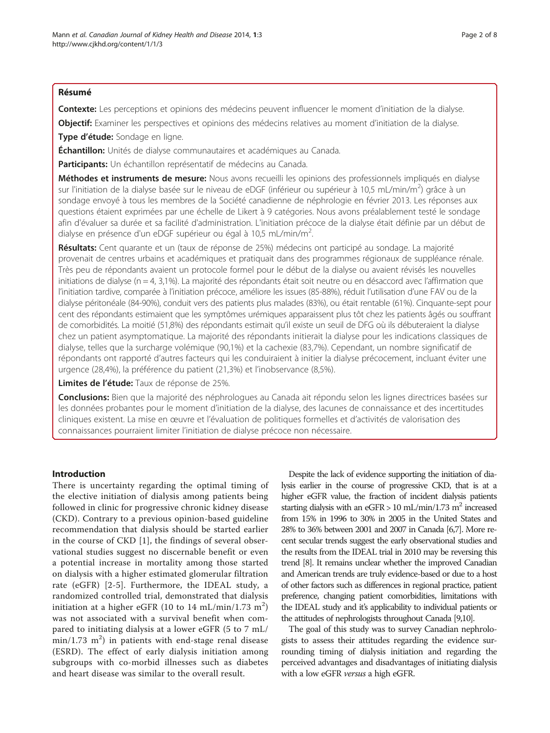Contexte: Les perceptions et opinions des médecins peuvent influencer le moment d'initiation de la dialyse.

Objectif: Examiner les perspectives et opinions des médecins relatives au moment d'initiation de la dialyse. Type d'étude: Sondage en ligne.

**Échantillon:** Unités de dialyse communautaires et académiques au Canada.

Participants: Un échantillon représentatif de médecins au Canada.

Méthodes et instruments de mesure: Nous avons recueilli les opinions des professionnels impliqués en dialyse sur l'initiation de la dialyse basée sur le niveau de eDGF (inférieur ou supérieur à 10,5 mL/min/m<sup>2</sup>) grâce à un sondage envoyé à tous les membres de la Société canadienne de néphrologie en février 2013. Les réponses aux questions étaient exprimées par une échelle de Likert à 9 catégories. Nous avons préalablement testé le sondage afin d'évaluer sa durée et sa facilité d'administration. L'initiation précoce de la dialyse était définie par un début de dialyse en présence d'un eDGF supérieur ou égal à 10,5 mL/min/m<sup>2</sup>. .

Résultats: Cent quarante et un (taux de réponse de 25%) médecins ont participé au sondage. La majorité provenait de centres urbains et académiques et pratiquait dans des programmes régionaux de suppléance rénale. Très peu de répondants avaient un protocole formel pour le début de la dialyse ou avaient révisés les nouvelles initiations de dialyse (n = 4, 3,1%). La majorité des répondants était soit neutre ou en désaccord avec l'affirmation que l'initiation tardive, comparée à l'initiation précoce, améliore les issues (85-88%), réduit l'utilisation d'une FAV ou de la dialyse péritonéale (84-90%), conduit vers des patients plus malades (83%), ou était rentable (61%). Cinquante-sept pour cent des répondants estimaient que les symptômes urémiques apparaissent plus tôt chez les patients âgés ou souffrant de comorbidités. La moitié (51,8%) des répondants estimait qu'il existe un seuil de DFG où ils débuteraient la dialyse chez un patient asymptomatique. La majorité des répondants initierait la dialyse pour les indications classiques de dialyse, telles que la surcharge volémique (90,1%) et la cachexie (83,7%). Cependant, un nombre significatif de répondants ont rapporté d'autres facteurs qui les conduiraient à initier la dialyse précocement, incluant éviter une urgence (28,4%), la préférence du patient (21,3%) et l'inobservance (8,5%).

Limites de l'étude: Taux de réponse de 25%.

Conclusions: Bien que la majorité des néphrologues au Canada ait répondu selon les lignes directrices basées sur les données probantes pour le moment d'initiation de la dialyse, des lacunes de connaissance et des incertitudes cliniques existent. La mise en œuvre et l'évaluation de politiques formelles et d'activités de valorisation des connaissances pourraient limiter l'initiation de dialyse précoce non nécessaire.

## Introduction

There is uncertainty regarding the optimal timing of the elective initiation of dialysis among patients being followed in clinic for progressive chronic kidney disease (CKD). Contrary to a previous opinion-based guideline recommendation that dialysis should be started earlier in the course of CKD [[1\]](#page-7-0), the findings of several observational studies suggest no discernable benefit or even a potential increase in mortality among those started on dialysis with a higher estimated glomerular filtration rate (eGFR) [[2-5\]](#page-7-0). Furthermore, the IDEAL study, a randomized controlled trial, demonstrated that dialysis initiation at a higher eGFR (10 to 14 mL/min/1.73  ${\rm m}^2)$ was not associated with a survival benefit when compared to initiating dialysis at a lower eGFR (5 to 7 mL/  $\text{min}/1.73 \text{ m}^2)$  in patients with end-stage renal disease (ESRD). The effect of early dialysis initiation among subgroups with co-morbid illnesses such as diabetes and heart disease was similar to the overall result.

Despite the lack of evidence supporting the initiation of dialysis earlier in the course of progressive CKD, that is at a higher eGFR value, the fraction of incident dialysis patients starting dialysis with an eGFR > 10 mL/min/1.73 m<sup>2</sup> increased from 15% in 1996 to 30% in 2005 in the United States and 28% to 36% between 2001 and 2007 in Canada [\[6,7](#page-7-0)]. More recent secular trends suggest the early observational studies and the results from the IDEAL trial in 2010 may be reversing this trend [\[8](#page-7-0)]. It remains unclear whether the improved Canadian and American trends are truly evidence-based or due to a host of other factors such as differences in regional practice, patient preference, changing patient comorbidities, limitations with the IDEAL study and it's applicability to individual patients or the attitudes of nephrologists throughout Canada [\[9,10\]](#page-7-0).

The goal of this study was to survey Canadian nephrologists to assess their attitudes regarding the evidence surrounding timing of dialysis initiation and regarding the perceived advantages and disadvantages of initiating dialysis with a low eGFR versus a high eGFR.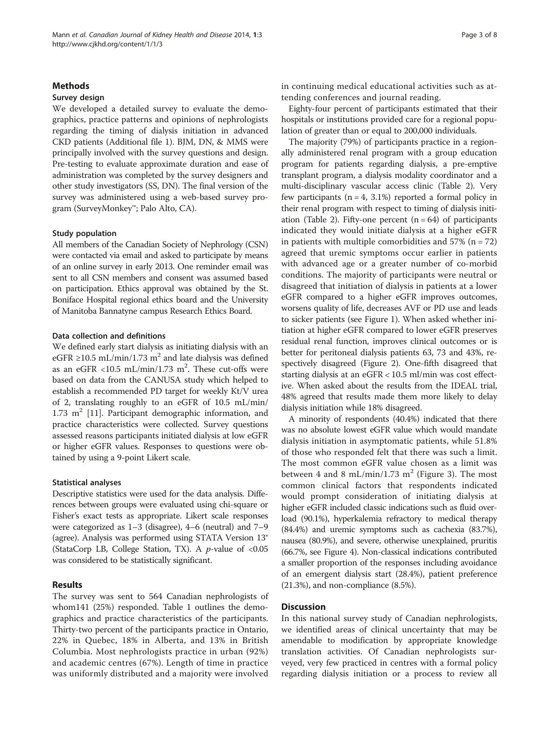## **Methods**

### Survey design

We developed a detailed survey to evaluate the demographics, practice patterns and opinions of nephrologists regarding the timing of dialysis initiation in advanced CKD patients (Additional file [1\)](#page-7-0). BJM, DN, & MMS were principally involved with the survey questions and design. Pre-testing to evaluate approximate duration and ease of administration was completed by the survey designers and other study investigators (SS, DN). The final version of the survey was administered using a web-based survey program (SurveyMonkey™; Palo Alto, CA).

## Study population

All members of the Canadian Society of Nephrology (CSN) were contacted via email and asked to participate by means of an online survey in early 2013. One reminder email was sent to all CSN members and consent was assumed based on participation. Ethics approval was obtained by the St. Boniface Hospital regional ethics board and the University of Manitoba Bannatyne campus Research Ethics Board.

## Data collection and definitions

We defined early start dialysis as initiating dialysis with an eGFR ≥10.5 mL/min/1.73 m<sup>2</sup> and late dialysis was defined as an eGFR  $<$ 10.5 mL/min/1.73 m<sup>2</sup>. These cut-offs were based on data from the CANUSA study which helped to establish a recommended PD target for weekly Kt/V urea of 2, translating roughly to an eGFR of 10.5 mL/min/ 1.73  $m^2$  [\[11\]](#page-7-0). Participant demographic information, and practice characteristics were collected. Survey questions assessed reasons participants initiated dialysis at low eGFR or higher eGFR values. Responses to questions were obtained by using a 9-point Likert scale.

#### Statistical analyses

Descriptive statistics were used for the data analysis. Differences between groups were evaluated using chi-square or Fisher's exact tests as appropriate. Likert scale responses were categorized as 1–3 (disagree), 4–6 (neutral) and 7–9 (agree). Analysis was performed using STATA Version 13® (StataCorp LB, College Station, TX). A  $p$ -value of <0.05 was considered to be statistically significant.

## Results

The survey was sent to 564 Canadian nephrologists of whom141 (25%) responded. Table [1](#page-3-0) outlines the demographics and practice characteristics of the participants. Thirty-two percent of the participants practice in Ontario, 22% in Quebec, 18% in Alberta, and 13% in British Columbia. Most nephrologists practice in urban (92%) and academic centres (67%). Length of time in practice was uniformly distributed and a majority were involved in continuing medical educational activities such as attending conferences and journal reading.

Eighty-four percent of participants estimated that their hospitals or institutions provided care for a regional population of greater than or equal to 200,000 individuals.

The majority (79%) of participants practice in a regionally administered renal program with a group education program for patients regarding dialysis, a pre-emptive transplant program, a dialysis modality coordinator and a multi-disciplinary vascular access clinic (Table [2](#page-4-0)). Very few participants  $(n = 4, 3.1%)$  reported a formal policy in their renal program with respect to timing of dialysis initi-ation (Table [2](#page-4-0)). Fifty-one percent  $(n = 64)$  of participants indicated they would initiate dialysis at a higher eGFR in patients with multiple comorbidities and  $57\%$  (n = 72) agreed that uremic symptoms occur earlier in patients with advanced age or a greater number of co-morbid conditions. The majority of participants were neutral or disagreed that initiation of dialysis in patients at a lower eGFR compared to a higher eGFR improves outcomes, worsens quality of life, decreases AVF or PD use and leads to sicker patients (see Figure [1](#page-4-0)). When asked whether initiation at higher eGFR compared to lower eGFR preserves residual renal function, improves clinical outcomes or is better for peritoneal dialysis patients 63, 73 and 43%, respectively disagreed (Figure [2\)](#page-5-0). One-fifth disagreed that starting dialysis at an eGFR < 10.5 ml/min was cost effective. When asked about the results from the IDEAL trial, 48% agreed that results made them more likely to delay dialysis initiation while 18% disagreed.

A minority of respondents (40.4%) indicated that there was no absolute lowest eGFR value which would mandate dialysis initiation in asymptomatic patients, while 51.8% of those who responded felt that there was such a limit. The most common eGFR value chosen as a limit was between 4 and 8 mL/min/1.73 m<sup>2</sup> (Figure [3](#page-5-0)). The most common clinical factors that respondents indicated would prompt consideration of initiating dialysis at higher eGFR included classic indications such as fluid overload (90.1%), hyperkalemia refractory to medical therapy (84.4%) and uremic symptoms such as cachexia (83.7%), nausea (80.9%), and severe, otherwise unexplained, pruritis (66.7%, see Figure [4\)](#page-6-0). Non-classical indications contributed a smaller proportion of the responses including avoidance of an emergent dialysis start (28.4%), patient preference (21.3%), and non-compliance (8.5%).

## **Discussion**

In this national survey study of Canadian nephrologists, we identified areas of clinical uncertainty that may be amendable to modification by appropriate knowledge translation activities. Of Canadian nephrologists surveyed, very few practiced in centres with a formal policy regarding dialysis initiation or a process to review all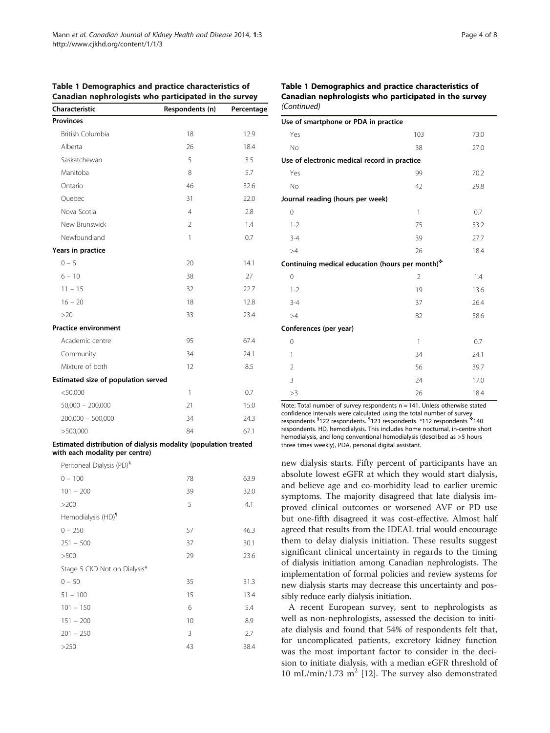<span id="page-3-0"></span>

| Table 1 Demographics and practice characteristics of  |  |
|-------------------------------------------------------|--|
| Canadian nephrologists who participated in the survey |  |

| Characteristic                      | Respondents (n) | Percentage |
|-------------------------------------|-----------------|------------|
| <b>Provinces</b>                    |                 |            |
| <b>British Columbia</b>             | 18              | 12.9       |
| Alberta                             | 26              | 18.4       |
| Saskatchewan                        | 5               | 3.5        |
| Manitoba                            | 8               | 5.7        |
| Ontario                             | 46              | 32.6       |
| Quebec                              | 31              | 22.0       |
| Nova Scotia                         | $\overline{4}$  | 2.8        |
| New Brunswick                       | $\overline{2}$  | 1.4        |
| Newfoundland                        | 1               | 0.7        |
| Years in practice                   |                 |            |
| $0 - 5$                             | 20              | 14.1       |
| $6 - 10$                            | 38              | 27         |
| $11 - 15$                           | 32              | 22.7       |
| $16 - 20$                           | 18              | 12.8       |
| >20                                 | 33              | 23.4       |
| <b>Practice environment</b>         |                 |            |
| Academic centre                     | 95              | 67.4       |
| Community                           | 34              | 24.1       |
| Mixture of both                     | 12              | 8.5        |
| Estimated size of population served |                 |            |
| $<$ 50,000                          | $\mathbf{1}$    | 0.7        |
| $50,000 - 200,000$                  | 21              | 15.0       |
| $200,000 - 500,000$                 | 34              | 24.3       |
| >500,000                            | 84              | 67.1       |

Estimated distribution of dialysis modality (population treated with each modality per centre)

Peritoneal Dialysis (PD)§

| $\frac{1}{2}$ critorical biary sis (1 b) |    |      |
|------------------------------------------|----|------|
| $0 - 100$                                | 78 | 63.9 |
| $101 - 200$                              | 39 | 32.0 |
| >200                                     | 5  | 4.1  |
| Hemodialysis (HD) <sup>1</sup>           |    |      |
| $0 - 250$                                | 57 | 46.3 |
| $251 - 500$                              | 37 | 30.1 |
| >500                                     | 29 | 23.6 |
| Stage 5 CKD Not on Dialysis*             |    |      |
| $0 - 50$                                 | 35 | 31.3 |
| $51 - 100$                               | 15 | 13.4 |
| $101 - 150$                              | 6  | 5.4  |
| $151 - 200$                              | 10 | 8.9  |
| $201 - 250$                              | 3  | 2.7  |
| >250                                     | 43 | 38.4 |
|                                          |    |      |

Table 1 Demographics and practice characteristics of Canadian nephrologists who participated in the survey (Continued)

| Use of smartphone or PDA in practice            |     |      |
|-------------------------------------------------|-----|------|
| Yes                                             | 103 | 73.0 |
| <b>No</b>                                       | 38  | 27.0 |
| Use of electronic medical record in practice    |     |      |
| Yes                                             | 99  | 70.2 |
| No                                              | 42  | 29.8 |
| Journal reading (hours per week)                |     |      |
| $\mathbf 0$                                     | 1   | 0.7  |
| $1 - 2$                                         | 75  | 53.2 |
| $3 - 4$                                         | 39  | 27.7 |
| >4                                              | 26  | 18.4 |
| Continuing medical education (hours per month)* |     |      |
| $\mathbf 0$                                     | 2   | 1.4  |
| $1 - 2$                                         | 19  | 13.6 |
| $3 - 4$                                         | 37  | 26.4 |
| >4                                              | 82  | 58.6 |
| Conferences (per year)                          |     |      |
| 0                                               | 1   | 0.7  |
| 1                                               | 34  | 24.1 |
| 2                                               | 56  | 39.7 |
| 3                                               | 24  | 17.0 |
| >3                                              | 26  | 18.4 |

Note: Total number of survey respondents  $n = 141$ . Unless otherwise stated confidence intervals were calculated using the total number of survey<br>respondents <sup>§</sup>122 respondents. <sup>1</sup>123 respondents. \*112 respondents \*140 respondents. HD, hemodialysis. This includes home nocturnal, in-centre short hemodialysis, and long conventional hemodialysis (described as >5 hours three times weekly), PDA, personal digital assistant.

new dialysis starts. Fifty percent of participants have an absolute lowest eGFR at which they would start dialysis, and believe age and co-morbidity lead to earlier uremic symptoms. The majority disagreed that late dialysis improved clinical outcomes or worsened AVF or PD use but one-fifth disagreed it was cost-effective. Almost half agreed that results from the IDEAL trial would encourage them to delay dialysis initiation. These results suggest significant clinical uncertainty in regards to the timing of dialysis initiation among Canadian nephrologists. The implementation of formal policies and review systems for new dialysis starts may decrease this uncertainty and possibly reduce early dialysis initiation.

A recent European survey, sent to nephrologists as well as non-nephrologists, assessed the decision to initiate dialysis and found that 54% of respondents felt that, for uncomplicated patients, excretory kidney function was the most important factor to consider in the decision to initiate dialysis, with a median eGFR threshold of 10 mL/min/1.73 m<sup>2</sup> [\[12](#page-7-0)]. The survey also demonstrated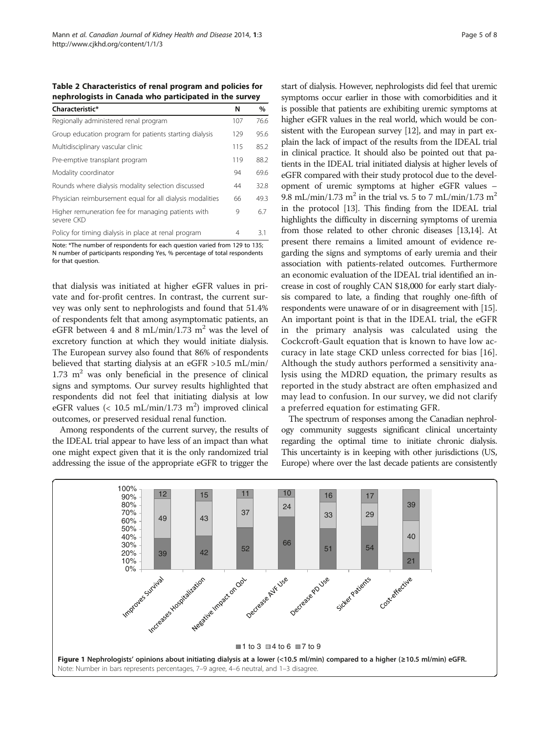<span id="page-4-0"></span>Table 2 Characteristics of renal program and policies for nephrologists in Canada who participated in the survey

| Characteristic*                                                  | N   | $\%$ |
|------------------------------------------------------------------|-----|------|
| Regionally administered renal program                            | 107 | 76.6 |
| Group education program for patients starting dialysis           | 129 | 95.6 |
| Multidisciplinary vascular clinic                                | 115 | 85.2 |
| Pre-emptive transplant program                                   | 119 | 88.2 |
| Modality coordinator                                             | 94  | 69.6 |
| Rounds where dialysis modality selection discussed               | 44  | 32.8 |
| Physician reimbursement equal for all dialysis modalities        | 66  | 49.3 |
| Higher remuneration fee for managing patients with<br>severe CKD | 9   | 6.7  |
| Policy for timing dialysis in place at renal program             | 4   | 3.1  |

Note: \*The number of respondents for each question varied from 129 to 135; N number of participants responding Yes, % percentage of total respondents for that question.

that dialysis was initiated at higher eGFR values in private and for-profit centres. In contrast, the current survey was only sent to nephrologists and found that 51.4% of respondents felt that among asymptomatic patients, an eGFR between 4 and 8 mL/min/1.73  $m<sup>2</sup>$  was the level of excretory function at which they would initiate dialysis. The European survey also found that 86% of respondents believed that starting dialysis at an eGFR >10.5 mL/min/ 1.73  $m<sup>2</sup>$  was only beneficial in the presence of clinical signs and symptoms. Our survey results highlighted that respondents did not feel that initiating dialysis at low eGFR values (< 10.5 mL/min/1.73 m<sup>2</sup>) improved clinical outcomes, or preserved residual renal function.

Among respondents of the current survey, the results of the IDEAL trial appear to have less of an impact than what one might expect given that it is the only randomized trial addressing the issue of the appropriate eGFR to trigger the start of dialysis. However, nephrologists did feel that uremic symptoms occur earlier in those with comorbidities and it is possible that patients are exhibiting uremic symptoms at higher eGFR values in the real world, which would be consistent with the European survey [\[12\]](#page-7-0), and may in part explain the lack of impact of the results from the IDEAL trial in clinical practice. It should also be pointed out that patients in the IDEAL trial initiated dialysis at higher levels of eGFR compared with their study protocol due to the development of uremic symptoms at higher eGFR values – 9.8 mL/min/1.73 m<sup>2</sup> in the trial vs. 5 to 7 mL/min/1.73 m<sup>2</sup> in the protocol [\[13\]](#page-7-0). This finding from the IDEAL trial highlights the difficulty in discerning symptoms of uremia from those related to other chronic diseases [[13,14\]](#page-7-0). At present there remains a limited amount of evidence regarding the signs and symptoms of early uremia and their association with patients-related outcomes. Furthermore an economic evaluation of the IDEAL trial identified an increase in cost of roughly CAN \$18,000 for early start dialysis compared to late, a finding that roughly one-fifth of respondents were unaware of or in disagreement with [[15](#page-7-0)]. An important point is that in the IDEAL trial, the eGFR in the primary analysis was calculated using the Cockcroft-Gault equation that is known to have low accuracy in late stage CKD unless corrected for bias [\[16](#page-7-0)]. Although the study authors performed a sensitivity analysis using the MDRD equation, the primary results as reported in the study abstract are often emphasized and may lead to confusion. In our survey, we did not clarify

The spectrum of responses among the Canadian nephrology community suggests significant clinical uncertainty regarding the optimal time to initiate chronic dialysis. This uncertainty is in keeping with other jurisdictions (US, Europe) where over the last decade patients are consistently

a preferred equation for estimating GFR.

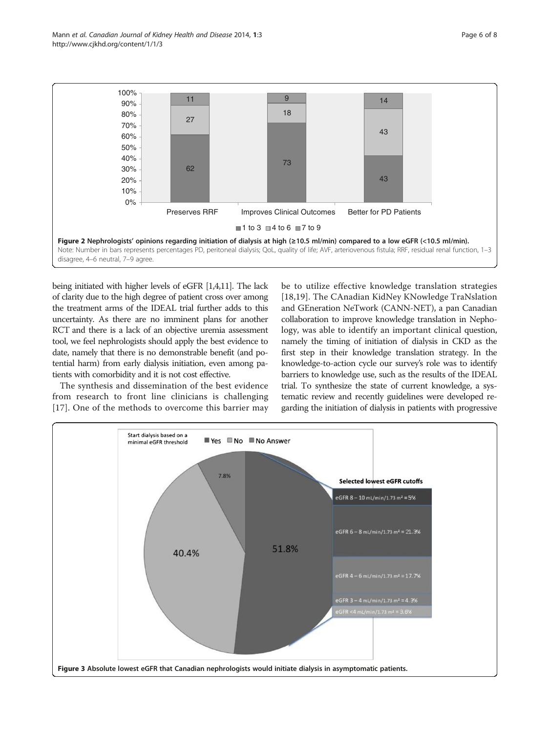<span id="page-5-0"></span>

being initiated with higher levels of eGFR [\[1,4,11](#page-7-0)]. The lack of clarity due to the high degree of patient cross over among the treatment arms of the IDEAL trial further adds to this uncertainty. As there are no imminent plans for another RCT and there is a lack of an objective uremia assessment tool, we feel nephrologists should apply the best evidence to date, namely that there is no demonstrable benefit (and potential harm) from early dialysis initiation, even among patients with comorbidity and it is not cost effective.

The synthesis and dissemination of the best evidence from research to front line clinicians is challenging [[17](#page-7-0)]. One of the methods to overcome this barrier may

be to utilize effective knowledge translation strategies [[18,19\]](#page-7-0). The CAnadian KidNey KNowledge TraNslation and GEneration NeTwork (CANN-NET), a pan Canadian collaboration to improve knowledge translation in Nephology, was able to identify an important clinical question, namely the timing of initiation of dialysis in CKD as the first step in their knowledge translation strategy. In the knowledge-to-action cycle our survey's role was to identify barriers to knowledge use, such as the results of the IDEAL trial. To synthesize the state of current knowledge, a systematic review and recently guidelines were developed regarding the initiation of dialysis in patients with progressive

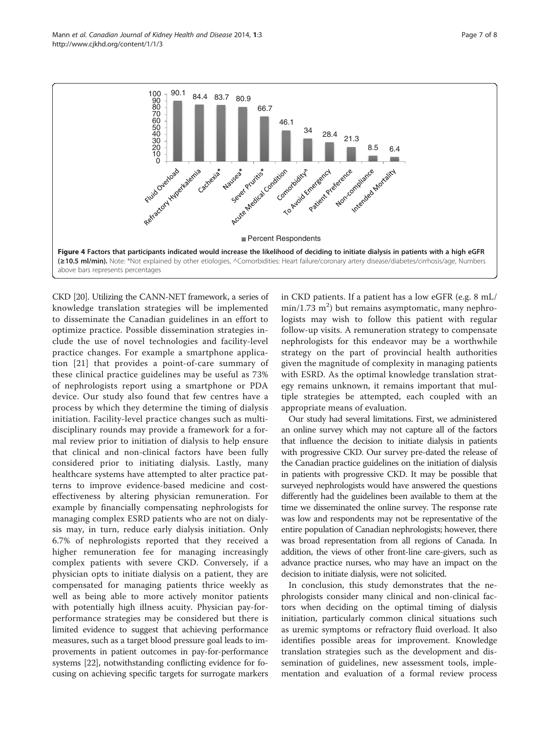<span id="page-6-0"></span>

CKD [\[20\]](#page-7-0). Utilizing the CANN-NET framework, a series of knowledge translation strategies will be implemented to disseminate the Canadian guidelines in an effort to optimize practice. Possible dissemination strategies include the use of novel technologies and facility-level practice changes. For example a smartphone application [[21\]](#page-7-0) that provides a point-of-care summary of these clinical practice guidelines may be useful as 73% of nephrologists report using a smartphone or PDA device. Our study also found that few centres have a process by which they determine the timing of dialysis initiation. Facility-level practice changes such as multidisciplinary rounds may provide a framework for a formal review prior to initiation of dialysis to help ensure that clinical and non-clinical factors have been fully considered prior to initiating dialysis. Lastly, many healthcare systems have attempted to alter practice patterns to improve evidence-based medicine and costeffectiveness by altering physician remuneration. For example by financially compensating nephrologists for managing complex ESRD patients who are not on dialysis may, in turn, reduce early dialysis initiation. Only 6.7% of nephrologists reported that they received a higher remuneration fee for managing increasingly complex patients with severe CKD. Conversely, if a physician opts to initiate dialysis on a patient, they are compensated for managing patients thrice weekly as well as being able to more actively monitor patients with potentially high illness acuity. Physician pay-forperformance strategies may be considered but there is limited evidence to suggest that achieving performance measures, such as a target blood pressure goal leads to improvements in patient outcomes in pay-for-performance systems [\[22\]](#page-7-0), notwithstanding conflicting evidence for focusing on achieving specific targets for surrogate markers

in CKD patients. If a patient has a low eGFR (e.g. 8 mL/  $min/1.73$   $m<sup>2</sup>$ ) but remains asymptomatic, many nephrologists may wish to follow this patient with regular follow-up visits. A remuneration strategy to compensate nephrologists for this endeavor may be a worthwhile strategy on the part of provincial health authorities given the magnitude of complexity in managing patients with ESRD. As the optimal knowledge translation strategy remains unknown, it remains important that multiple strategies be attempted, each coupled with an appropriate means of evaluation.

Our study had several limitations. First, we administered an online survey which may not capture all of the factors that influence the decision to initiate dialysis in patients with progressive CKD. Our survey pre-dated the release of the Canadian practice guidelines on the initiation of dialysis in patients with progressive CKD. It may be possible that surveyed nephrologists would have answered the questions differently had the guidelines been available to them at the time we disseminated the online survey. The response rate was low and respondents may not be representative of the entire population of Canadian nephrologists; however, there was broad representation from all regions of Canada. In addition, the views of other front-line care-givers, such as advance practice nurses, who may have an impact on the decision to initiate dialysis, were not solicited.

In conclusion, this study demonstrates that the nephrologists consider many clinical and non-clinical factors when deciding on the optimal timing of dialysis initiation, particularly common clinical situations such as uremic symptoms or refractory fluid overload. It also identifies possible areas for improvement. Knowledge translation strategies such as the development and dissemination of guidelines, new assessment tools, implementation and evaluation of a formal review process